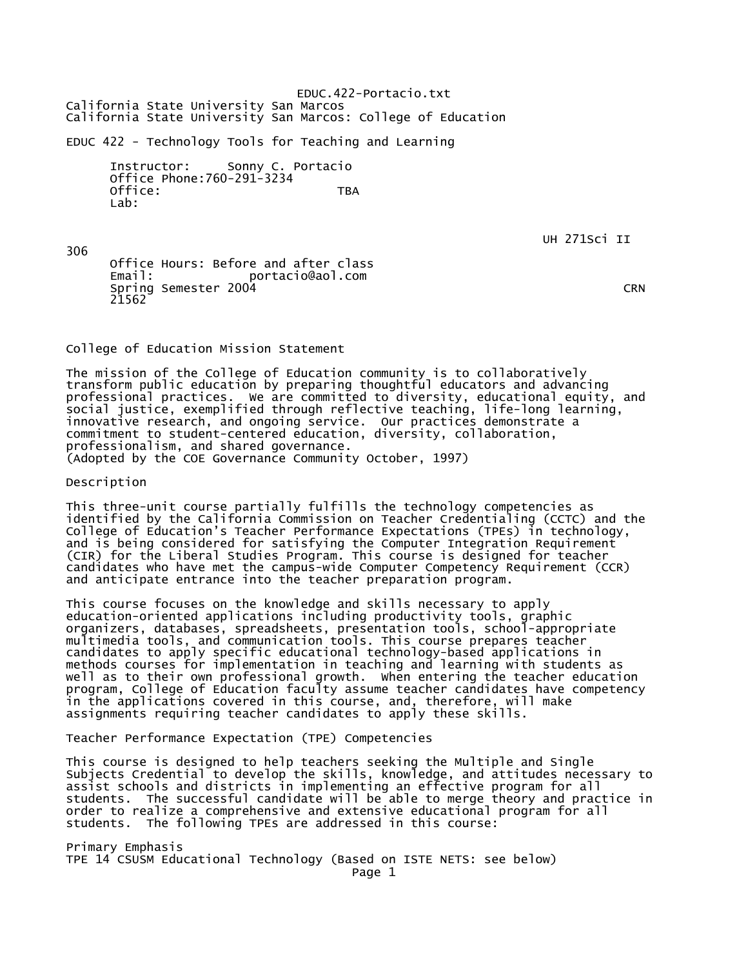EDUC.422-Portacio.txt California State University San Marcos California State University San Marcos: College of Education

EDUC 422 - Technology Tools for Teaching and Learning

 Instructor: Sonny C. Portacio Office Phone:760-291-3234 Office: TBA Lab:

UH 271Sci II

306 Office Hours: Before and after class Email: portacio@aol.com Spring Semester 2004 CRN 21562

College of Education Mission Statement

The mission of the College of Education community is to collaboratively transform public education by preparing thoughtful educators and advancing professional practices. We are committed to diversity, educational equity, and social justice, exemplified through reflective teaching, life-long learning, innovative research, and ongoing service. Our practices demonstrate a commitment to student-centered education, diversity, collaboration, professionalism, and shared governance. (Adopted by the COE Governance Community October, 1997)

Description

This three-unit course partially fulfills the technology competencies as identified by the California Commission on Teacher Credentialing (CCTC) and the College of Education's Teacher Performance Expectations (TPEs) in technology, and is being considered for satisfying the Computer Integration Requirement (CIR) for the Liberal Studies Program. This course is designed for teacher candidates who have met the campus-wide Computer Competency Requirement (CCR) and anticipate entrance into the teacher preparation program.

This course focuses on the knowledge and skills necessary to apply education-oriented applications including productivity tools, graphic organizers, databases, spreadsheets, presentation tools, school-appropriate multimedia tools, and communication tools. This course prepares teacher candidates to apply specific educational technology-based applications in methods courses for implementation in teaching and learning with students as well as to their own professional growth. When entering the teacher education program, College of Education faculty assume teacher candidates have competency in the applications covered in this course, and, therefore, will make assignments requiring teacher candidates to apply these skills.

Teacher Performance Expectation (TPE) Competencies

This course is designed to help teachers seeking the Multiple and Single Subjects Credential to develop the skills, knowledge, and attitudes necessary to assist schools and districts in implementing an effective program for all students. The successful candidate will be able to merge theory and practice in order to realize a comprehensive and extensive educational program for all students. The following TPEs are addressed in this course:

Primary Emphasis TPE 14 CSUSM Educational Technology (Based on ISTE NETS: see below)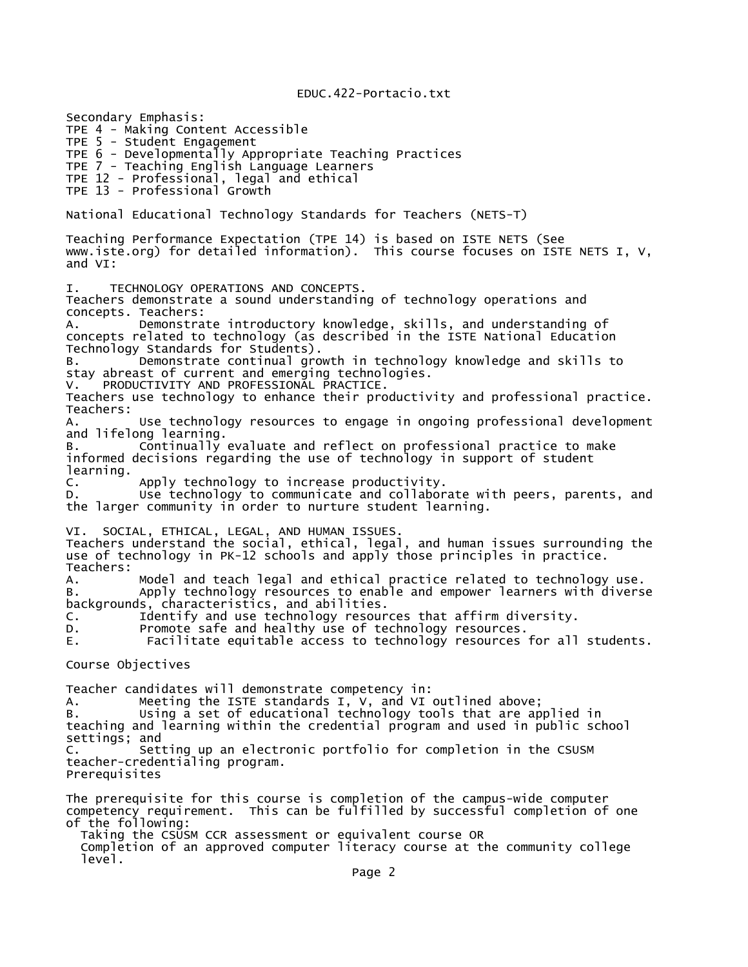EDUC.422-Portacio.txt

Secondary Emphasis: TPE 4 - Making Content Accessible TPE 5 - Student Engagement TPE 6 - Developmentally Appropriate Teaching Practices TPE 7 - Teaching English Language Learners TPE 12 - Professional, legal and ethical TPE 13 - Professional Growth National Educational Technology Standards for Teachers (NETS-T) Teaching Performance Expectation (TPE 14) is based on ISTE NETS (See www.iste.org) for detailed information). This course focuses on ISTE NETS I, V, and VI: I. TECHNOLOGY OPERATIONS AND CONCEPTS. Teachers demonstrate a sound understanding of technology operations and concepts. Teachers: A. Demonstrate introductory knowledge, skills, and understanding of concepts related to technology (as described in the ISTE National Education Technology Standards for Students). B. Demonstrate continual growth in technology knowledge and skills to stay abreast of current and emerging technologies. V. PRODUCTIVITY AND PROFESSIONAL PRACTICE. Teachers use technology to enhance their productivity and professional practice. Teachers: A. Use technology resources to engage in ongoing professional development and lifelong learning. B. Continually evaluate and reflect on professional practice to make informed decisions regarding the use of technology in support of student learning. C. Apply technology to increase productivity.<br>D. Use technology to communicate and collabor Use technology to communicate and collaborate with peers, parents, and the larger community in order to nurture student learning. VI. SOCIAL, ETHICAL, LEGAL, AND HUMAN ISSUES. Teachers understand the social, ethical, legal, and human issues surrounding the use of technology in PK-12 schools and apply those principles in practice. Teachers: A. Model and teach legal and ethical practice related to technology use. B. Apply technology resources to enable and empower learners with diverse backgrounds, characteristics, and abilities.<br>C. Identify and use technology resour Identify and use technology resources that affirm diversity. D. Promote safe and healthy use of technology resources. E. Facilitate equitable access to technology resources for all students. Course Objectives Teacher candidates will demonstrate competency in: A. Meeting the ISTE standards I, V, and VI outlined above; B. Using a set of educational technology tools that are applied in teaching and learning within the credential program and used in public school settings; and C. Setting up an electronic portfolio for completion in the CSUSM teacher-credentialing program. Prerequisites The prerequisite for this course is completion of the campus-wide computer competency requirement. This can be fulfilled by successful completion of one of the following: Taking the CSUSM CCR assessment or equivalent course OR Completion of an approved computer literacy course at the community college

level.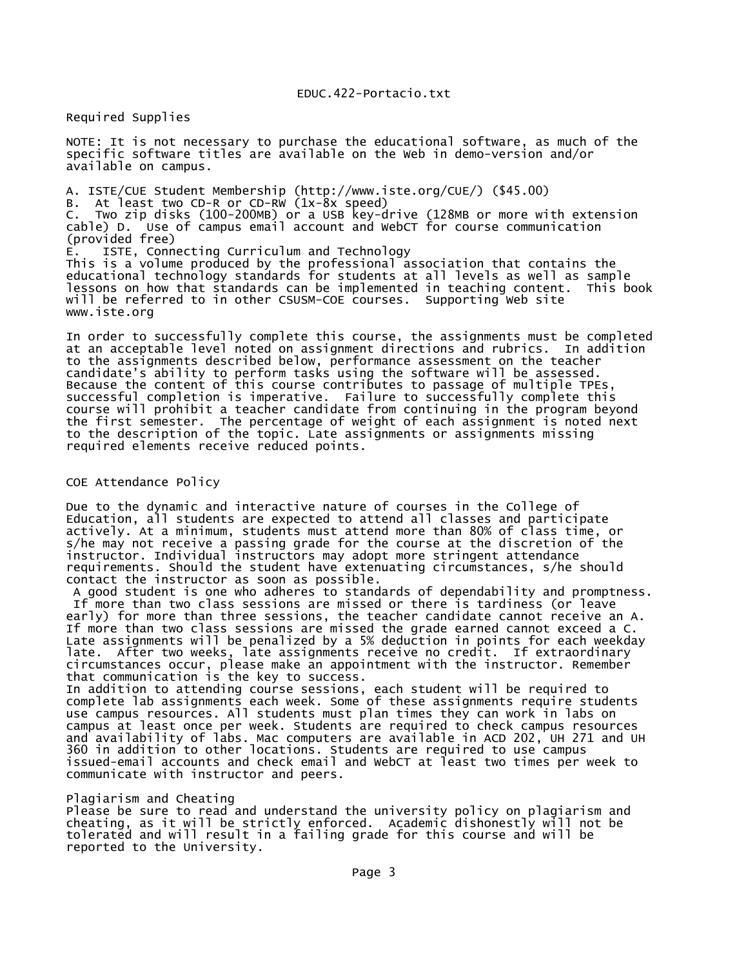Required Supplies

NOTE: It is not necessary to purchase the educational software, as much of the specific software titles are available on the Web in demo-version and/or available on campus.

A. ISTE/CUE Student Membership (http://www.iste.org/CUE/) (\$45.00) B. At least two CD-R or CD-RW (1x-8x speed) C. Two zip disks (100-200MB) or a USB key-drive (128MB or more with extension cable) D. Use of campus email account and WebCT for course communication (provided free) E. ISTE, Connecting Curriculum and Technology This is a volume produced by the professional association that contains the educational technology standards for students at all levels as well as sample lessons on how that standards can be implemented in teaching content. This book will be referred to in other CSUSM-COE courses. Supporting Web site www.iste.org

In order to successfully complete this course, the assignments must be completed at an acceptable level noted on assignment directions and rubrics. In addition to the assignments described below, performance assessment on the teacher candidate's ability to perform tasks using the software will be assessed. Because the content of this course contributes to passage of multiple TPEs, successful completion is imperative. Failure to successfully complete this course will prohibit a teacher candidate from continuing in the program beyond the first semester. The percentage of weight of each assignment is noted next to the description of the topic. Late assignments or assignments missing required elements receive reduced points.

## COE Attendance Policy

Due to the dynamic and interactive nature of courses in the College of Education, all students are expected to attend all classes and participate actively. At a minimum, students must attend more than 80% of class time, or s/he may not receive a passing grade for the course at the discretion of the instructor. Individual instructors may adopt more stringent attendance requirements. Should the student have extenuating circumstances, s/he should contact the instructor as soon as possible.

 A good student is one who adheres to standards of dependability and promptness. If more than two class sessions are missed or there is tardiness (or leave early) for more than three sessions, the teacher candidate cannot receive an A. If more than two class sessions are missed the grade earned cannot exceed a C. Late assignments will be penalized by a 5% deduction in points for each weekday late. After two weeks, late assignments receive no credit. If extraordinary circumstances occur, please make an appointment with the instructor. Remember that communication is the key to success.

In addition to attending course sessions, each student will be required to complete lab assignments each week. Some of these assignments require students use campus resources. All students must plan times they can work in labs on campus at least once per week. Students are required to check campus resources and availability of labs. Mac computers are available in ACD 202, UH 271 and UH 360 in addition to other locations. Students are required to use campus issued-email accounts and check email and WebCT at least two times per week to communicate with instructor and peers.

## Plagiarism and Cheating

Please be sure to read and understand the university policy on plagiarism and cheating, as it will be strictly enforced. Academic dishonestly will not be tolerated and will result in a failing grade for this course and will be reported to the University.